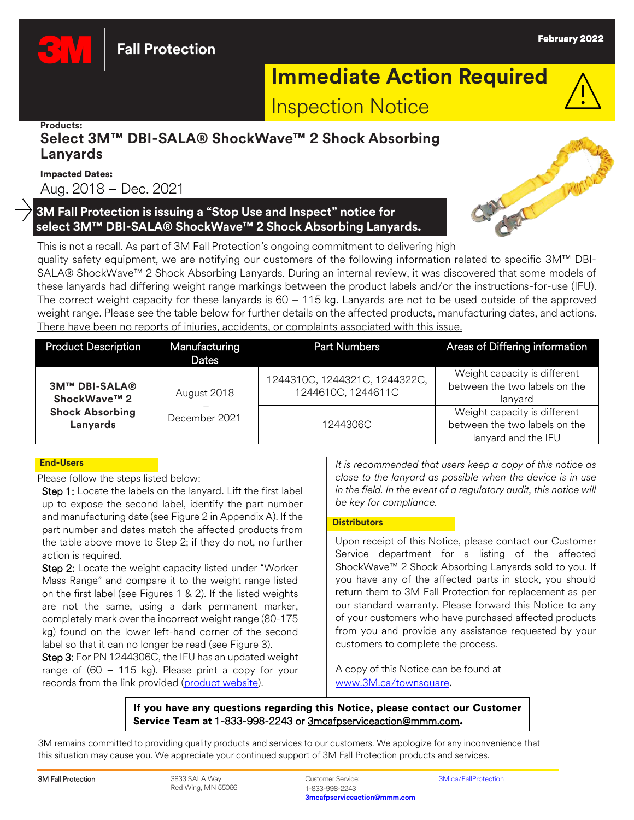

**Fall Protection** 

# **Immediate Action Required**



#### **Products:**

# **Select 3M™ DBI-SALA® ShockWave™ 2 Shock Absorbing Lanyards**

## Impacted Dates:

Aug. 2018 – Dec. 2021

## **3M Fall Protection is issuing a "Stop Use and Inspect" notice for select 3M™ DBI-SALA® ShockWave™ 2 Shock Absorbing Lanyards.**



This is not a recall. As part of 3M Fall Protection's ongoing commitment to delivering high quality safety equipment, we are notifying our customers of the following information related to specific 3M™ DBI-SALA® ShockWave™ 2 Shock Absorbing Lanyards. During an internal review, it was discovered that some models of these lanyards had differing weight range markings between the product labels and/or the instructions-for-use (IFU). The correct weight capacity for these lanyards is 60 – 115 kg. Lanyards are not to be used outside of the approved weight range. Please see the table below for further details on the affected products, manufacturing dates, and actions. There have been no reports of injuries, accidents, or complaints associated with this issue.

| <b>Product Description</b>                                                 | Manufacturing<br>Dates       | <b>Part Numbers</b>                                 | Areas of Differing information                                                       |
|----------------------------------------------------------------------------|------------------------------|-----------------------------------------------------|--------------------------------------------------------------------------------------|
| <b>3M™ DBI-SALA®</b><br>ShockWave™ 2<br><b>Shock Absorbing</b><br>Lanyards | August 2018<br>December 2021 | 1244310C, 1244321C, 1244322C,<br>1244610C, 1244611C | Weight capacity is different<br>between the two labels on the<br>lanyard             |
|                                                                            |                              | 1244306C                                            | Weight capacity is different<br>between the two labels on the<br>lanyard and the IFU |

## **End-Users**

Please follow the steps listed below:

Step 1: Locate the labels on the lanyard. Lift the first label up to expose the second label, identify the part number and manufacturing date (see Figure 2 in Appendix A). If the part number and dates match the affected products from the table above move to Step 2; if they do not, no further action is required.

Step 2: Locate the weight capacity listed under "Worker Mass Range" and compare it to the weight range listed on the first label (see Figures 1 & 2). If the listed weights are not the same, using a dark permanent marker, completely mark over the incorrect weight range (80-175 kg) found on the lower left-hand corner of the second label so that it can no longer be read (see Figure 3).

Step 3: For PN 1244306C, the IFU has an updated weight range of (60 – 115 kg). Please print a copy for your records from the link provided [\(product website\)](https://www.3mcanada.ca/3M/en_CA/p/d/v000358531/).

*It is recommended that users keep a copy of this notice as close to the lanyard as possible when the device is in use in the field. In the event of a regulatory audit, this notice will be key for compliance.*

## **Distributors**

Upon receipt of this Notice, please contact our Customer Service department for a listing of the affected ShockWave™ 2 Shock Absorbing Lanyards sold to you. If you have any of the affected parts in stock, you should return them to 3M Fall Protection for replacement as per our standard warranty. Please forward this Notice to any of your customers who have purchased affected products from you and provide any assistance requested by your customers to complete the process.

A copy of this Notice can be found at [www.3M.ca/townsquare](https://www.3mcanada.ca/3m/en_ca/worker-health-safety-ca/safety-town-square).

If you have any questions regarding this Notice, please contact our Customer Service Team at 1-833-998-2243 or [3mcafpserviceaction@mmm.com](mailto:3mcafpserviceaction@mmm.com).

3M remains committed to providing quality products and services to our customers. We apologize for any inconvenience that this situation may cause you. We appreciate your continued support of 3M Fall Protection products and services.